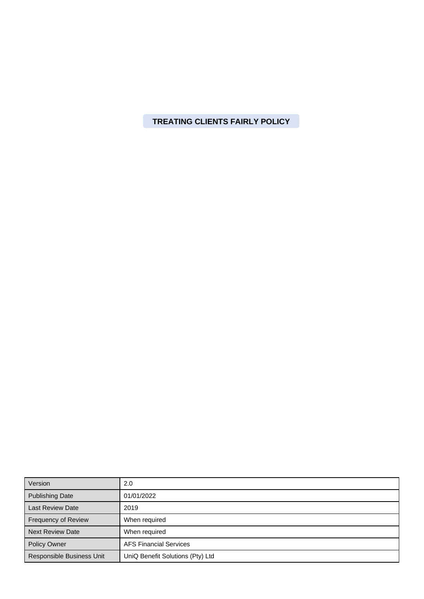**TREATING CLIENTS FAIRLY POLICY**

| Version                   | 2.0                              |
|---------------------------|----------------------------------|
| <b>Publishing Date</b>    | 01/01/2022                       |
| <b>Last Review Date</b>   | 2019                             |
| Frequency of Review       | When required                    |
| <b>Next Review Date</b>   | When required                    |
| <b>Policy Owner</b>       | <b>AFS Financial Services</b>    |
| Responsible Business Unit | UniQ Benefit Solutions (Pty) Ltd |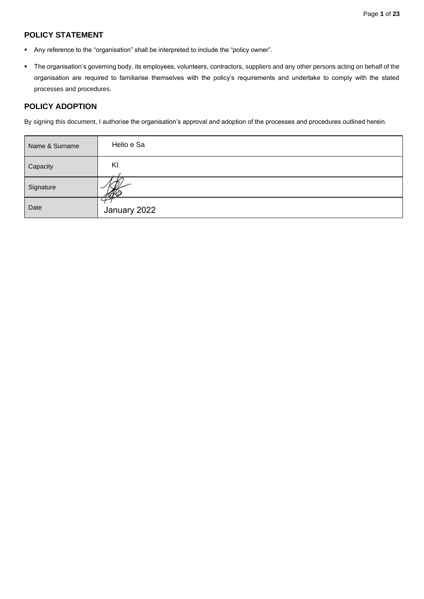# **POLICY STATEMENT**

- Any reference to the "organisation" shall be interpreted to include the "policy owner".
- The organisation's governing body, its employees, volunteers, contractors, suppliers and any other persons acting on behalf of the organisation are required to familiarise themselves with the policy's requirements and undertake to comply with the stated processes and procedures.

## **POLICY ADOPTION**

By signing this document, I authorise the organisation's approval and adoption of the processes and procedures outlined herein.

| Name & Surname | Helio e Sa   |
|----------------|--------------|
| Capacity       | KI           |
| Signature      |              |
| Date           | January 2022 |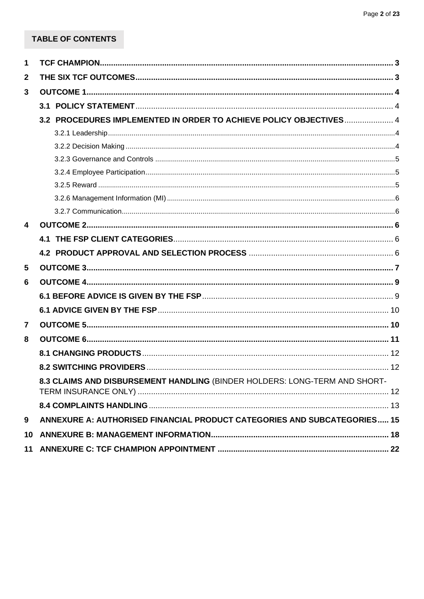# TABLE OF CONTENTS

| 1                       |                                                                            |  |
|-------------------------|----------------------------------------------------------------------------|--|
| $\mathbf 2$             |                                                                            |  |
| 3                       |                                                                            |  |
|                         |                                                                            |  |
|                         | 3.2 PROCEDURES IMPLEMENTED IN ORDER TO ACHIEVE POLICY OBJECTIVES 4         |  |
|                         |                                                                            |  |
|                         |                                                                            |  |
|                         |                                                                            |  |
|                         |                                                                            |  |
|                         |                                                                            |  |
|                         |                                                                            |  |
|                         |                                                                            |  |
| $\overline{\mathbf{4}}$ |                                                                            |  |
|                         |                                                                            |  |
|                         |                                                                            |  |
| 5                       |                                                                            |  |
| 6                       |                                                                            |  |
|                         |                                                                            |  |
|                         |                                                                            |  |
| $\overline{\mathbf{7}}$ |                                                                            |  |
| 8                       |                                                                            |  |
|                         |                                                                            |  |
|                         |                                                                            |  |
|                         | 8.3 CLAIMS AND DISBURSEMENT HANDLING (BINDER HOLDERS: LONG-TERM AND SHORT- |  |
|                         |                                                                            |  |
|                         |                                                                            |  |
| 9                       | ANNEXURE A: AUTHORISED FINANCIAL PRODUCT CATEGORIES AND SUBCATEGORIES 15   |  |
| 10                      |                                                                            |  |
| 11                      |                                                                            |  |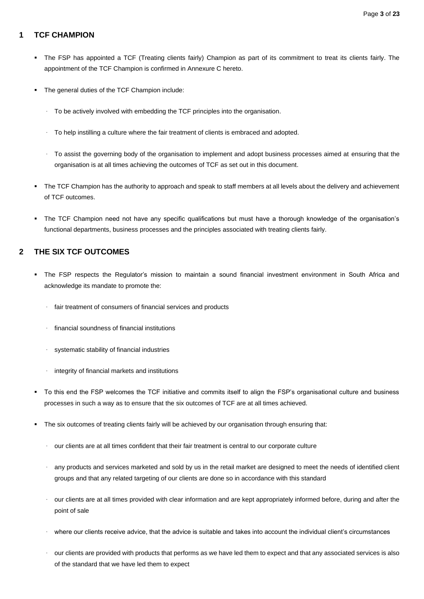# <span id="page-3-0"></span>**1 TCF CHAMPION**

- The FSP has appointed a TCF (Treating clients fairly) Champion as part of its commitment to treat its clients fairly. The appointment of the TCF Champion is confirmed in Annexure C hereto.
- The general duties of the TCF Champion include:
	- To be actively involved with embedding the TCF principles into the organisation.
	- · To help instilling a culture where the fair treatment of clients is embraced and adopted.
	- · To assist the governing body of the organisation to implement and adopt business processes aimed at ensuring that the organisation is at all times achieving the outcomes of TCF as set out in this document.
- The TCF Champion has the authority to approach and speak to staff members at all levels about the delivery and achievement of TCF outcomes.
- The TCF Champion need not have any specific qualifications but must have a thorough knowledge of the organisation's functional departments, business processes and the principles associated with treating clients fairly.

## <span id="page-3-1"></span>**2 THE SIX TCF OUTCOMES**

- The FSP respects the Regulator's mission to maintain a sound financial investment environment in South Africa and acknowledge its mandate to promote the:
	- · fair treatment of consumers of financial services and products
	- · financial soundness of financial institutions
	- systematic stability of financial industries
	- integrity of financial markets and institutions
- To this end the FSP welcomes the TCF initiative and commits itself to align the FSP's organisational culture and business processes in such a way as to ensure that the six outcomes of TCF are at all times achieved.
- The six outcomes of treating clients fairly will be achieved by our organisation through ensuring that:
	- our clients are at all times confident that their fair treatment is central to our corporate culture
	- any products and services marketed and sold by us in the retail market are designed to meet the needs of identified client groups and that any related targeting of our clients are done so in accordance with this standard
	- our clients are at all times provided with clear information and are kept appropriately informed before, during and after the point of sale
	- where our clients receive advice, that the advice is suitable and takes into account the individual client's circumstances
	- · our clients are provided with products that performs as we have led them to expect and that any associated services is also of the standard that we have led them to expect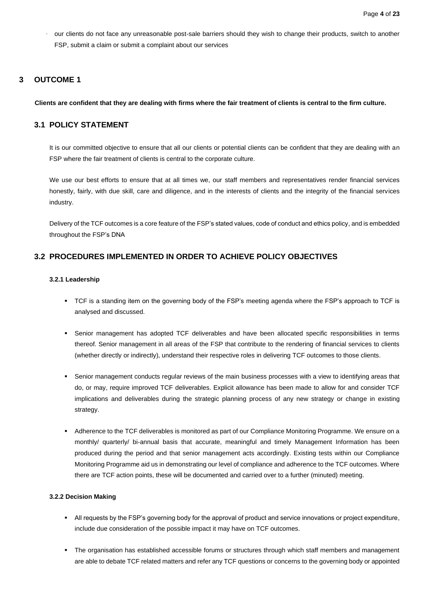our clients do not face any unreasonable post-sale barriers should they wish to change their products, switch to another FSP, submit a claim or submit a complaint about our services

## <span id="page-4-0"></span>**3 OUTCOME 1**

### **Clients are confident that they are dealing with firms where the fair treatment of clients is central to the firm culture.**

## <span id="page-4-1"></span>**3.1 POLICY STATEMENT**

It is our committed objective to ensure that all our clients or potential clients can be confident that they are dealing with an FSP where the fair treatment of clients is central to the corporate culture.

We use our best efforts to ensure that at all times we, our staff members and representatives render financial services honestly, fairly, with due skill, care and diligence, and in the interests of clients and the integrity of the financial services industry.

Delivery of the TCF outcomes is a core feature of the FSP's stated values, code of conduct and ethics policy, and is embedded throughout the FSP's DNA

# <span id="page-4-3"></span><span id="page-4-2"></span>**3.2 PROCEDURES IMPLEMENTED IN ORDER TO ACHIEVE POLICY OBJECTIVES**

### **3.2.1 Leadership**

- TCF is a standing item on the governing body of the FSP's meeting agenda where the FSP's approach to TCF is analysed and discussed.
- Senior management has adopted TCF deliverables and have been allocated specific responsibilities in terms thereof. Senior management in all areas of the FSP that contribute to the rendering of financial services to clients (whether directly or indirectly), understand their respective roles in delivering TCF outcomes to those clients.
- Senior management conducts regular reviews of the main business processes with a view to identifying areas that do, or may, require improved TCF deliverables. Explicit allowance has been made to allow for and consider TCF implications and deliverables during the strategic planning process of any new strategy or change in existing strategy.
- Adherence to the TCF deliverables is monitored as part of our Compliance Monitoring Programme. We ensure on a monthly/ quarterly/ bi-annual basis that accurate, meaningful and timely Management Information has been produced during the period and that senior management acts accordingly. Existing tests within our Compliance Monitoring Programme aid us in demonstrating our level of compliance and adherence to the TCF outcomes. Where there are TCF action points, these will be documented and carried over to a further (minuted) meeting.

## <span id="page-4-4"></span>**3.2.2 Decision Making**

- All requests by the FSP's governing body for the approval of product and service innovations or project expenditure, include due consideration of the possible impact it may have on TCF outcomes.
- The organisation has established accessible forums or structures through which staff members and management are able to debate TCF related matters and refer any TCF questions or concerns to the governing body or appointed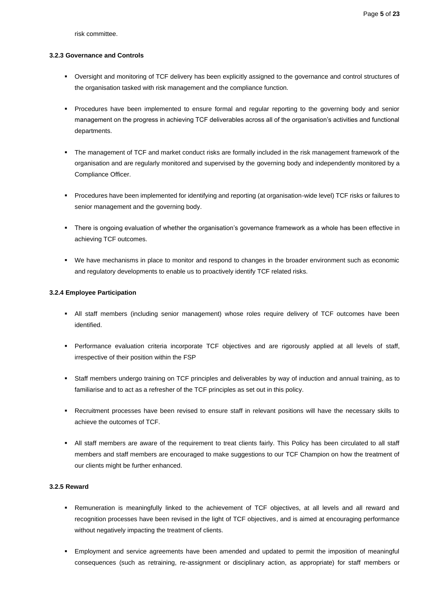risk committee.

### <span id="page-5-0"></span>**3.2.3 Governance and Controls**

- Oversight and monitoring of TCF delivery has been explicitly assigned to the governance and control structures of the organisation tasked with risk management and the compliance function.
- Procedures have been implemented to ensure formal and regular reporting to the governing body and senior management on the progress in achieving TCF deliverables across all of the organisation's activities and functional departments.
- The management of TCF and market conduct risks are formally included in the risk management framework of the organisation and are regularly monitored and supervised by the governing body and independently monitored by a Compliance Officer.
- Procedures have been implemented for identifying and reporting (at organisation-wide level) TCF risks or failures to senior management and the governing body.
- There is ongoing evaluation of whether the organisation's governance framework as a whole has been effective in achieving TCF outcomes.
- We have mechanisms in place to monitor and respond to changes in the broader environment such as economic and regulatory developments to enable us to proactively identify TCF related risks.

### <span id="page-5-1"></span>**3.2.4 Employee Participation**

- All staff members (including senior management) whose roles require delivery of TCF outcomes have been identified.
- Performance evaluation criteria incorporate TCF objectives and are rigorously applied at all levels of staff, irrespective of their position within the FSP
- Staff members undergo training on TCF principles and deliverables by way of induction and annual training, as to familiarise and to act as a refresher of the TCF principles as set out in this policy.
- Recruitment processes have been revised to ensure staff in relevant positions will have the necessary skills to achieve the outcomes of TCF.
- All staff members are aware of the requirement to treat clients fairly. This Policy has been circulated to all staff members and staff members are encouraged to make suggestions to our TCF Champion on how the treatment of our clients might be further enhanced.

## <span id="page-5-2"></span>**3.2.5 Reward**

- Remuneration is meaningfully linked to the achievement of TCF objectives, at all levels and all reward and recognition processes have been revised in the light of TCF objectives, and is aimed at encouraging performance without negatively impacting the treatment of clients.
- Employment and service agreements have been amended and updated to permit the imposition of meaningful consequences (such as retraining, re-assignment or disciplinary action, as appropriate) for staff members or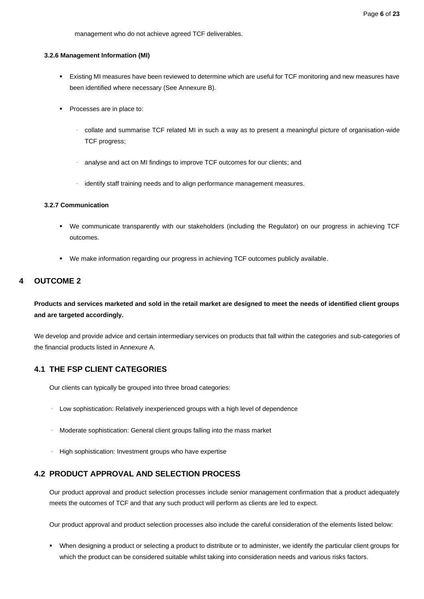management who do not achieve agreed TCF deliverables.

#### <span id="page-6-0"></span>**3.2.6 Management Information (MI)**

- Existing MI measures have been reviewed to determine which are useful for TCF monitoring and new measures have been identified where necessary (See Annexure B).
- Processes are in place to:
	- · collate and summarise TCF related MI in such a way as to present a meaningful picture of organisation-wide TCF progress;
	- · analyse and act on MI findings to improve TCF outcomes for our clients; and
	- · identify staff training needs and to align performance management measures.

### <span id="page-6-1"></span>**3.2.7 Communication**

- We communicate transparently with our stakeholders (including the Regulator) on our progress in achieving TCF outcomes.
- We make information regarding our progress in achieving TCF outcomes publicly available.

# <span id="page-6-2"></span>**4 OUTCOME 2**

**Products and services marketed and sold in the retail market are designed to meet the needs of identified client groups and are targeted accordingly.**

We develop and provide advice and certain intermediary services on products that fall within the categories and sub-categories of the financial products listed in Annexure A.

## <span id="page-6-3"></span>**4.1 THE FSP CLIENT CATEGORIES**

Our clients can typically be grouped into three broad categories:

- · Low sophistication: Relatively inexperienced groups with a high level of dependence
- · Moderate sophistication: General client groups falling into the mass market
- · High sophistication: Investment groups who have expertise

## <span id="page-6-4"></span>**4.2 PRODUCT APPROVAL AND SELECTION PROCESS**

Our product approval and product selection processes include senior management confirmation that a product adequately meets the outcomes of TCF and that any such product will perform as clients are led to expect.

Our product approval and product selection processes also include the careful consideration of the elements listed below:

▪ When designing a product or selecting a product to distribute or to administer, we identify the particular client groups for which the product can be considered suitable whilst taking into consideration needs and various risks factors.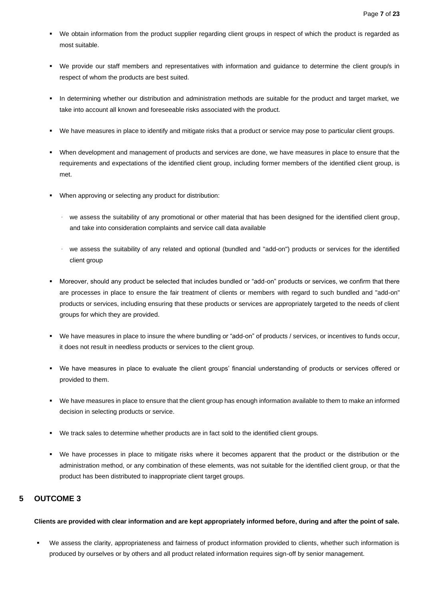- We obtain information from the product supplier regarding client groups in respect of which the product is regarded as most suitable.
- We provide our staff members and representatives with information and guidance to determine the client group/s in respect of whom the products are best suited.
- In determining whether our distribution and administration methods are suitable for the product and target market, we take into account all known and foreseeable risks associated with the product.
- We have measures in place to identify and mitigate risks that a product or service may pose to particular client groups.
- When development and management of products and services are done, we have measures in place to ensure that the requirements and expectations of the identified client group, including former members of the identified client group, is met.
- When approving or selecting any product for distribution:
	- · we assess the suitability of any promotional or other material that has been designed for the identified client group, and take into consideration complaints and service call data available
	- · we assess the suitability of any related and optional (bundled and "add-on") products or services for the identified client group
- Moreover, should any product be selected that includes bundled or "add-on" products or services, we confirm that there are processes in place to ensure the fair treatment of clients or members with regard to such bundled and "add-on" products or services, including ensuring that these products or services are appropriately targeted to the needs of client groups for which they are provided.
- We have measures in place to insure the where bundling or "add-on" of products / services, or incentives to funds occur, it does not result in needless products or services to the client group.
- We have measures in place to evaluate the client groups' financial understanding of products or services offered or provided to them.
- We have measures in place to ensure that the client group has enough information available to them to make an informed decision in selecting products or service.
- We track sales to determine whether products are in fact sold to the identified client groups.
- We have processes in place to mitigate risks where it becomes apparent that the product or the distribution or the administration method, or any combination of these elements, was not suitable for the identified client group, or that the product has been distributed to inappropriate client target groups.

# <span id="page-7-0"></span>**5 OUTCOME 3**

### **Clients are provided with clear information and are kept appropriately informed before, during and after the point of sale.**

We assess the clarity, appropriateness and fairness of product information provided to clients, whether such information is produced by ourselves or by others and all product related information requires sign-off by senior management.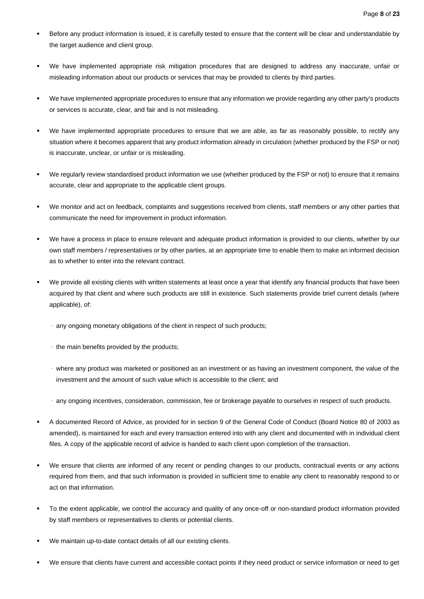- Before any product information is issued, it is carefully tested to ensure that the content will be clear and understandable by the target audience and client group.
- We have implemented appropriate risk mitigation procedures that are designed to address any inaccurate, unfair or misleading information about our products or services that may be provided to clients by third parties.
- We have implemented appropriate procedures to ensure that any information we provide regarding any other party's products or services is accurate, clear, and fair and is not misleading.
- We have implemented appropriate procedures to ensure that we are able, as far as reasonably possible, to rectify any situation where it becomes apparent that any product information already in circulation (whether produced by the FSP or not) is inaccurate, unclear, or unfair or is misleading.
- We regularly review standardised product information we use (whether produced by the FSP or not) to ensure that it remains accurate, clear and appropriate to the applicable client groups.
- We monitor and act on feedback, complaints and suggestions received from clients, staff members or any other parties that communicate the need for improvement in product information.
- We have a process in place to ensure relevant and adequate product information is provided to our clients, whether by our own staff members / representatives or by other parties, at an appropriate time to enable them to make an informed decision as to whether to enter into the relevant contract.
- We provide all existing clients with written statements at least once a year that identify any financial products that have been acquired by that client and where such products are still in existence. Such statements provide brief current details (where applicable), of:
	- · any ongoing monetary obligations of the client in respect of such products;
	- · the main benefits provided by the products;
	- · where any product was marketed or positioned as an investment or as having an investment component, the value of the investment and the amount of such value which is accessible to the client; and
	- · any ongoing incentives, consideration, commission, fee or brokerage payable to ourselves in respect of such products.
- A documented Record of Advice, as provided for in section 9 of the General Code of Conduct (Board Notice 80 of 2003 as amended), is maintained for each and every transaction entered into with any client and documented with in individual client files. A copy of the applicable record of advice is handed to each client upon completion of the transaction.
- We ensure that clients are informed of any recent or pending changes to our products, contractual events or any actions required from them, and that such information is provided in sufficient time to enable any client to reasonably respond to or act on that information.
- To the extent applicable, we control the accuracy and quality of any once-off or non-standard product information provided by staff members or representatives to clients or potential clients.
- We maintain up-to-date contact details of all our existing clients.
- We ensure that clients have current and accessible contact points if they need product or service information or need to get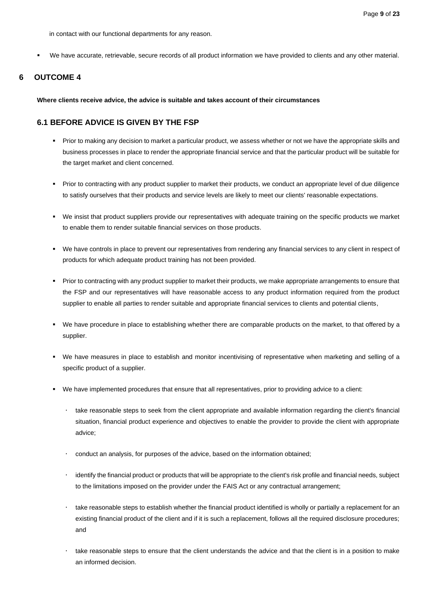in contact with our functional departments for any reason.

▪ We have accurate, retrievable, secure records of all product information we have provided to clients and any other material.

# <span id="page-9-0"></span>**6 OUTCOME 4**

**Where clients receive advice, the advice is suitable and takes account of their circumstances**

## <span id="page-9-1"></span>**6.1 BEFORE ADVICE IS GIVEN BY THE FSP**

- Prior to making any decision to market a particular product, we assess whether or not we have the appropriate skills and business processes in place to render the appropriate financial service and that the particular product will be suitable for the target market and client concerned.
- Prior to contracting with any product supplier to market their products, we conduct an appropriate level of due diligence to satisfy ourselves that their products and service levels are likely to meet our clients' reasonable expectations.
- We insist that product suppliers provide our representatives with adequate training on the specific products we market to enable them to render suitable financial services on those products.
- We have controls in place to prevent our representatives from rendering any financial services to any client in respect of products for which adequate product training has not been provided.
- Prior to contracting with any product supplier to market their products, we make appropriate arrangements to ensure that the FSP and our representatives will have reasonable access to any product information required from the product supplier to enable all parties to render suitable and appropriate financial services to clients and potential clients,
- We have procedure in place to establishing whether there are comparable products on the market, to that offered by a supplier.
- We have measures in place to establish and monitor incentivising of representative when marketing and selling of a specific product of a supplier.
- We have implemented procedures that ensure that all representatives, prior to providing advice to a client:
	- take reasonable steps to seek from the client appropriate and available information regarding the client's financial situation, financial product experience and objectives to enable the provider to provide the client with appropriate advice;
	- conduct an analysis, for purposes of the advice, based on the information obtained;
	- identify the financial product or products that will be appropriate to the client's risk profile and financial needs, subject to the limitations imposed on the provider under the FAIS Act or any contractual arrangement;
	- take reasonable steps to establish whether the financial product identified is wholly or partially a replacement for an existing financial product of the client and if it is such a replacement, follows all the required disclosure procedures; and
	- take reasonable steps to ensure that the client understands the advice and that the client is in a position to make an informed decision.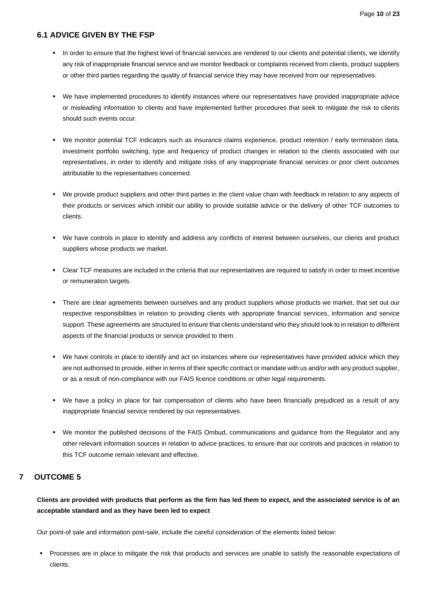## <span id="page-10-0"></span>**6.1 ADVICE GIVEN BY THE FSP**

- In order to ensure that the highest level of financial services are rendered to our clients and potential clients, we identify any risk of inappropriate financial service and we monitor feedback or complaints received from clients, product suppliers or other third parties regarding the quality of financial service they may have received from our representatives.
- We have implemented procedures to identify instances where our representatives have provided inappropriate advice or misleading information to clients and have implemented further procedures that seek to mitigate the risk to clients should such events occur.
- We monitor potential TCF indicators such as insurance claims experience, product retention / early termination data, investment portfolio switching, type and frequency of product changes in relation to the clients associated with our representatives, in order to identify and mitigate risks of any inappropriate financial services or poor client outcomes attributable to the representatives concerned.
- We provide product suppliers and other third parties in the client value chain with feedback in relation to any aspects of their products or services which inhibit our ability to provide suitable advice or the delivery of other TCF outcomes to clients.
- We have controls in place to identify and address any conflicts of interest between ourselves, our clients and product suppliers whose products we market.
- Clear TCF measures are included in the criteria that our representatives are required to satisfy in order to meet incentive or remuneration targets.
- There are clear agreements between ourselves and any product suppliers whose products we market, that set out our respective responsibilities in relation to providing clients with appropriate financial services, information and service support. These agreements are structured to ensure that clients understand who they should look to in relation to different aspects of the financial products or service provided to them.
- We have controls in place to identify and act on instances where our representatives have provided advice which they are not authorised to provide, either in terms of their specific contract or mandate with us and/or with any product supplier, or as a result of non-compliance with our FAIS licence conditions or other legal requirements.
- We have a policy in place for fair compensation of clients who have been financially prejudiced as a result of any inappropriate financial service rendered by our representatives.
- We monitor the published decisions of the FAIS Ombud, communications and guidance from the Regulator and any other relevant information sources in relation to advice practices, to ensure that our controls and practices in relation to this TCF outcome remain relevant and effective.

# <span id="page-10-1"></span>**7 OUTCOME 5**

**Clients are provided with products that perform as the firm has led them to expect, and the associated service is of an acceptable standard and as they have been led to expect**

Our point-of sale and information post-sale, include the careful consideration of the elements listed below:

Processes are in place to mitigate the risk that products and services are unable to satisfy the reasonable expectations of clients.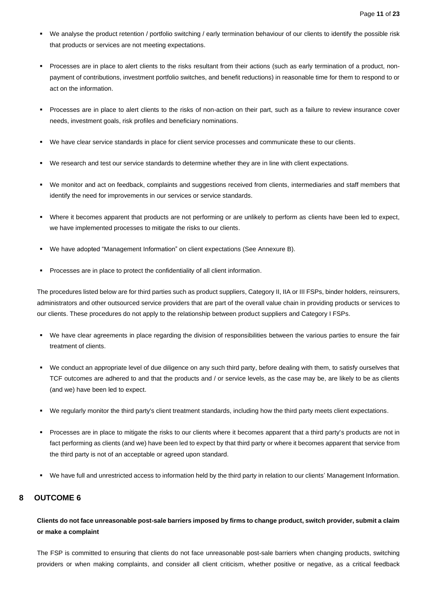- We analyse the product retention / portfolio switching / early termination behaviour of our clients to identify the possible risk that products or services are not meeting expectations.
- Processes are in place to alert clients to the risks resultant from their actions (such as early termination of a product, nonpayment of contributions, investment portfolio switches, and benefit reductions) in reasonable time for them to respond to or act on the information.
- Processes are in place to alert clients to the risks of non-action on their part, such as a failure to review insurance cover needs, investment goals, risk profiles and beneficiary nominations.
- We have clear service standards in place for client service processes and communicate these to our clients.
- We research and test our service standards to determine whether they are in line with client expectations.
- We monitor and act on feedback, complaints and suggestions received from clients, intermediaries and staff members that identify the need for improvements in our services or service standards.
- Where it becomes apparent that products are not performing or are unlikely to perform as clients have been led to expect, we have implemented processes to mitigate the risks to our clients.
- We have adopted "Management Information" on client expectations (See Annexure B).
- Processes are in place to protect the confidentiality of all client information.

The procedures listed below are for third parties such as product suppliers, Category II, IIA or III FSPs, binder holders, reinsurers, administrators and other outsourced service providers that are part of the overall value chain in providing products or services to our clients. These procedures do not apply to the relationship between product suppliers and Category I FSPs.

- We have clear agreements in place regarding the division of responsibilities between the various parties to ensure the fair treatment of clients.
- We conduct an appropriate level of due diligence on any such third party, before dealing with them, to satisfy ourselves that TCF outcomes are adhered to and that the products and / or service levels, as the case may be, are likely to be as clients (and we) have been led to expect.
- We regularly monitor the third party's client treatment standards, including how the third party meets client expectations.
- Processes are in place to mitigate the risks to our clients where it becomes apparent that a third party's products are not in fact performing as clients (and we) have been led to expect by that third party or where it becomes apparent that service from the third party is not of an acceptable or agreed upon standard.
- We have full and unrestricted access to information held by the third party in relation to our clients' Management Information.

# <span id="page-11-0"></span>**8 OUTCOME 6**

## **Clients do not face unreasonable post-sale barriers imposed by firms to change product, switch provider, submit a claim or make a complaint**

The FSP is committed to ensuring that clients do not face unreasonable post-sale barriers when changing products, switching providers or when making complaints, and consider all client criticism, whether positive or negative, as a critical feedback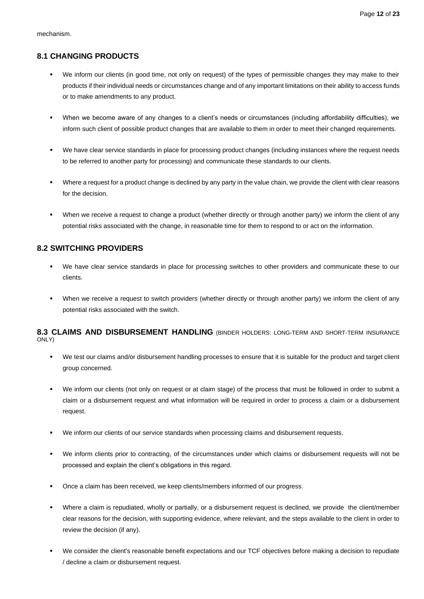## <span id="page-12-0"></span>**8.1 CHANGING PRODUCTS**

- We inform our clients (in good time, not only on request) of the types of permissible changes they may make to their products if their individual needs or circumstances change and of any important limitations on their ability to access funds or to make amendments to any product.
- When we become aware of any changes to a client's needs or circumstances (including affordability difficulties), we inform such client of possible product changes that are available to them in order to meet their changed requirements.
- We have clear service standards in place for processing product changes (including instances where the request needs to be referred to another party for processing) and communicate these standards to our clients.
- Where a request for a product change is declined by any party in the value chain, we provide the client with clear reasons for the decision.
- When we receive a request to change a product (whether directly or through another party) we inform the client of any potential risks associated with the change, in reasonable time for them to respond to or act on the information.

## <span id="page-12-1"></span>**8.2 SWITCHING PROVIDERS**

- We have clear service standards in place for processing switches to other providers and communicate these to our clients.
- When we receive a request to switch providers (whether directly or through another party) we inform the client of any potential risks associated with the switch.

<span id="page-12-2"></span>**8.3 CLAIMS AND DISBURSEMENT HANDLING** (BINDER HOLDERS: LONG-TERM AND SHORT-TERM INSURANCE ONLY)

- We test our claims and/or disbursement handling processes to ensure that it is suitable for the product and target client group concerned.
- We inform our clients (not only on request or at claim stage) of the process that must be followed in order to submit a claim or a disbursement request and what information will be required in order to process a claim or a disbursement request.
- We inform our clients of our service standards when processing claims and disbursement requests.
- We inform clients prior to contracting, of the circumstances under which claims or disbursement requests will not be processed and explain the client's obligations in this regard.
- Once a claim has been received, we keep clients/members informed of our progress.
- Where a claim is repudiated, wholly or partially, or a disbursement request is declined, we provide the client/member clear reasons for the decision, with supporting evidence, where relevant, and the steps available to the client in order to review the decision (if any).
- We consider the client's reasonable benefit expectations and our TCF objectives before making a decision to repudiate / decline a claim or disbursement request.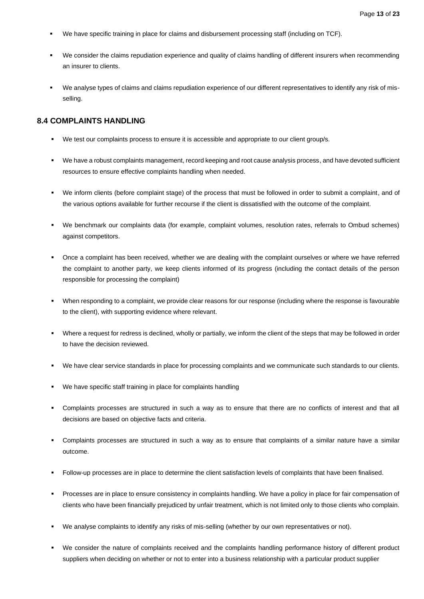- We have specific training in place for claims and disbursement processing staff (including on TCF).
- We consider the claims repudiation experience and quality of claims handling of different insurers when recommending an insurer to clients.
- We analyse types of claims and claims repudiation experience of our different representatives to identify any risk of misselling.

## <span id="page-13-0"></span>**8.4 COMPLAINTS HANDLING**

- We test our complaints process to ensure it is accessible and appropriate to our client group/s.
- We have a robust complaints management, record keeping and root cause analysis process, and have devoted sufficient resources to ensure effective complaints handling when needed.
- We inform clients (before complaint stage) of the process that must be followed in order to submit a complaint, and of the various options available for further recourse if the client is dissatisfied with the outcome of the complaint.
- We benchmark our complaints data (for example, complaint volumes, resolution rates, referrals to Ombud schemes) against competitors.
- Once a complaint has been received, whether we are dealing with the complaint ourselves or where we have referred the complaint to another party, we keep clients informed of its progress (including the contact details of the person responsible for processing the complaint)
- When responding to a complaint, we provide clear reasons for our response (including where the response is favourable to the client), with supporting evidence where relevant.
- Where a request for redress is declined, wholly or partially, we inform the client of the steps that may be followed in order to have the decision reviewed.
- We have clear service standards in place for processing complaints and we communicate such standards to our clients.
- We have specific staff training in place for complaints handling
- Complaints processes are structured in such a way as to ensure that there are no conflicts of interest and that all decisions are based on objective facts and criteria.
- Complaints processes are structured in such a way as to ensure that complaints of a similar nature have a similar outcome.
- Follow-up processes are in place to determine the client satisfaction levels of complaints that have been finalised.
- Processes are in place to ensure consistency in complaints handling. We have a policy in place for fair compensation of clients who have been financially prejudiced by unfair treatment, which is not limited only to those clients who complain.
- We analyse complaints to identify any risks of mis-selling (whether by our own representatives or not).
- We consider the nature of complaints received and the complaints handling performance history of different product suppliers when deciding on whether or not to enter into a business relationship with a particular product supplier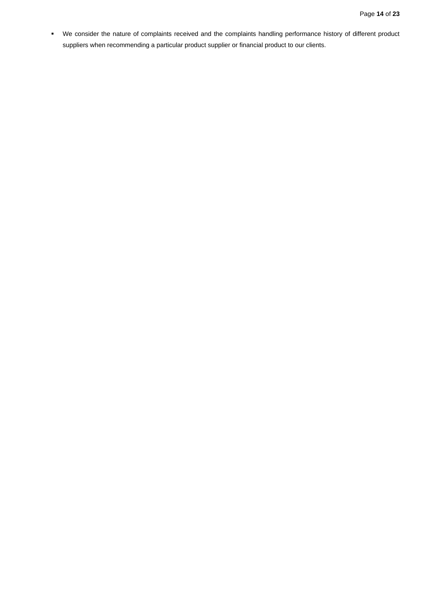▪ We consider the nature of complaints received and the complaints handling performance history of different product suppliers when recommending a particular product supplier or financial product to our clients.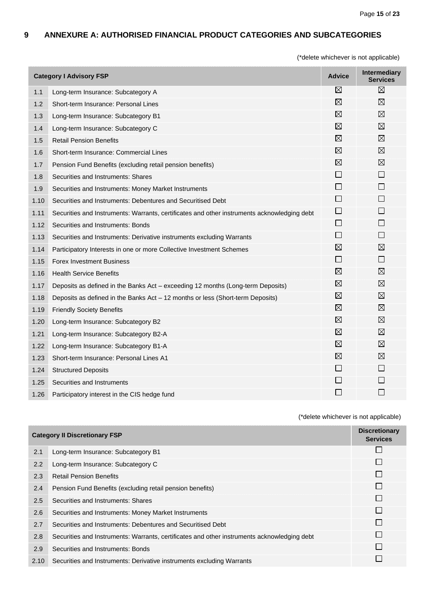## <span id="page-15-0"></span>**9 ANNEXURE A: AUTHORISED FINANCIAL PRODUCT CATEGORIES AND SUBCATEGORIES**

(\*delete whichever is not applicable)

| <b>Category I Advisory FSP</b> |                                                                                             | <b>Advice</b>            | <b>Intermediary</b><br><b>Services</b> |
|--------------------------------|---------------------------------------------------------------------------------------------|--------------------------|----------------------------------------|
| 1.1                            | Long-term Insurance: Subcategory A                                                          | $\boxtimes$              | $\boxtimes$                            |
| 1.2                            | Short-term Insurance: Personal Lines                                                        | $\boxtimes$              | $\boxtimes$                            |
| 1.3                            | Long-term Insurance: Subcategory B1                                                         | $\boxtimes$              | $\boxtimes$                            |
| 1.4                            | Long-term Insurance: Subcategory C                                                          | ⊠                        | $\boxtimes$                            |
| 1.5                            | <b>Retail Pension Benefits</b>                                                              | $\boxtimes$              | $\boxtimes$                            |
| 1.6                            | Short-term Insurance: Commercial Lines                                                      | $\boxtimes$              | $\boxtimes$                            |
| 1.7                            | Pension Fund Benefits (excluding retail pension benefits)                                   | $\boxtimes$              | $\boxtimes$                            |
| 1.8                            | Securities and Instruments: Shares                                                          | П                        | $\Box$                                 |
| 1.9                            | Securities and Instruments: Money Market Instruments                                        | $\mathsf{L}$             | $\Box$                                 |
| 1.10                           | Securities and Instruments: Debentures and Securitised Debt                                 | $\Box$                   | $\Box$                                 |
| 1.11                           | Securities and Instruments: Warrants, certificates and other instruments acknowledging debt | $\Box$                   | $\Box$                                 |
| 1.12                           | Securities and Instruments: Bonds                                                           | $\mathbf{L}$             | $\Box$                                 |
| 1.13                           | Securities and Instruments: Derivative instruments excluding Warrants                       | П                        | $\Box$                                 |
| 1.14                           | Participatory Interests in one or more Collective Investment Schemes                        | $\boxtimes$              | $\boxtimes$                            |
| 1.15                           | <b>Forex Investment Business</b>                                                            | $\Box$                   | $\Box$                                 |
| 1.16                           | <b>Health Service Benefits</b>                                                              | $\boxtimes$              | $\boxtimes$                            |
| 1.17                           | Deposits as defined in the Banks Act – exceeding 12 months (Long-term Deposits)             | $\boxtimes$              | $\boxtimes$                            |
| 1.18                           | Deposits as defined in the Banks Act - 12 months or less (Short-term Deposits)              | $\boxtimes$              | $\boxtimes$                            |
| 1.19                           | <b>Friendly Society Benefits</b>                                                            | $\boxtimes$              | $\boxtimes$                            |
| 1.20                           | Long-term Insurance: Subcategory B2                                                         | $\boxtimes$              | $\boxtimes$                            |
| 1.21                           | Long-term Insurance: Subcategory B2-A                                                       | $\boxtimes$              | $\boxtimes$                            |
| 1.22                           | Long-term Insurance: Subcategory B1-A                                                       | $\boxtimes$              | $\boxtimes$                            |
| 1.23                           | Short-term Insurance: Personal Lines A1                                                     | $\boxtimes$              | $\boxtimes$                            |
| 1.24                           | <b>Structured Deposits</b>                                                                  | $\Box$                   | $\Box$                                 |
| 1.25                           | Securities and Instruments                                                                  |                          | $\Box$                                 |
| 1.26                           | Participatory interest in the CIS hedge fund                                                | $\overline{\phantom{a}}$ | $\Box$                                 |

| <b>Category II Discretionary FSP</b> |                                                                                             | <b>Discretionary</b><br><b>Services</b> |
|--------------------------------------|---------------------------------------------------------------------------------------------|-----------------------------------------|
| 2.1                                  | Long-term Insurance: Subcategory B1                                                         |                                         |
| 2.2                                  | Long-term Insurance: Subcategory C                                                          |                                         |
| 2.3                                  | <b>Retail Pension Benefits</b>                                                              | $\perp$                                 |
| 2.4                                  | Pension Fund Benefits (excluding retail pension benefits)                                   |                                         |
| 2.5                                  | Securities and Instruments: Shares                                                          |                                         |
| 2.6                                  | Securities and Instruments: Money Market Instruments                                        | $\perp$                                 |
| 2.7                                  | Securities and Instruments: Debentures and Securitised Debt                                 | $\mathsf{L}$                            |
| 2.8                                  | Securities and Instruments: Warrants, certificates and other instruments acknowledging debt |                                         |
| 2.9                                  | Securities and Instruments: Bonds                                                           | $\mathsf{L}$                            |
| 2.10                                 | Securities and Instruments: Derivative instruments excluding Warrants                       |                                         |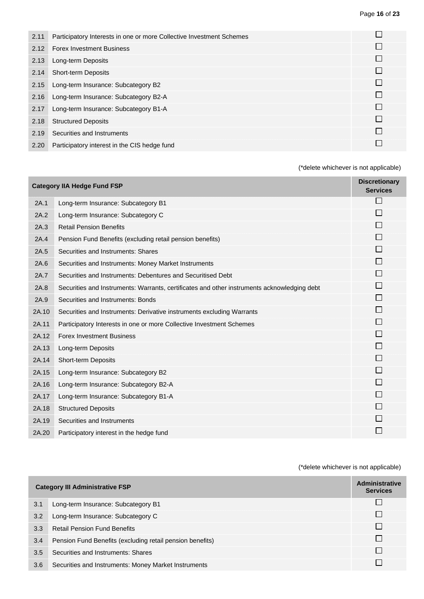| 2.11 | Participatory Interests in one or more Collective Investment Schemes |  |
|------|----------------------------------------------------------------------|--|
| 2.12 | <b>Forex Investment Business</b>                                     |  |
| 2.13 | Long-term Deposits                                                   |  |
| 2.14 | <b>Short-term Deposits</b>                                           |  |
| 2.15 | Long-term Insurance: Subcategory B2                                  |  |
| 2.16 | Long-term Insurance: Subcategory B2-A                                |  |
| 2.17 | Long-term Insurance: Subcategory B1-A                                |  |
| 2.18 | <b>Structured Deposits</b>                                           |  |
| 2.19 | Securities and Instruments                                           |  |
| 2.20 | Participatory interest in the CIS hedge fund                         |  |

| <b>Category IIA Hedge Fund FSP</b> |                                                                                             | <b>Discretionary</b><br><b>Services</b> |
|------------------------------------|---------------------------------------------------------------------------------------------|-----------------------------------------|
| 2A.1                               | Long-term Insurance: Subcategory B1                                                         |                                         |
| 2A.2                               | Long-term Insurance: Subcategory C                                                          | $\mathcal{L}_{\mathcal{A}}$             |
| 2A.3                               | <b>Retail Pension Benefits</b>                                                              |                                         |
| 2A.4                               | Pension Fund Benefits (excluding retail pension benefits)                                   |                                         |
| 2A.5                               | Securities and Instruments: Shares                                                          | П                                       |
| 2A.6                               | Securities and Instruments: Money Market Instruments                                        |                                         |
| 2A.7                               | Securities and Instruments: Debentures and Securitised Debt                                 |                                         |
| 2A.8                               | Securities and Instruments: Warrants, certificates and other instruments acknowledging debt |                                         |
| 2A.9                               | Securities and Instruments: Bonds                                                           | П                                       |
| 2A.10                              | Securities and Instruments: Derivative instruments excluding Warrants                       | $\Box$                                  |
| 2A.11                              | Participatory Interests in one or more Collective Investment Schemes                        | $\Box$                                  |
| 2A.12                              | <b>Forex Investment Business</b>                                                            |                                         |
| 2A.13                              | Long-term Deposits                                                                          | $\Box$                                  |
| 2A.14                              | <b>Short-term Deposits</b>                                                                  | П                                       |
| 2A.15                              | Long-term Insurance: Subcategory B2                                                         |                                         |
| 2A.16                              | Long-term Insurance: Subcategory B2-A                                                       | II.                                     |
| 2A.17                              | Long-term Insurance: Subcategory B1-A                                                       | $\Box$                                  |
| 2A.18                              | <b>Structured Deposits</b>                                                                  |                                         |
| 2A.19                              | Securities and Instruments                                                                  |                                         |
| 2A.20                              | Participatory interest in the hedge fund                                                    |                                         |

| <b>Category III Administrative FSP</b> |                                                           | <b>Administrative</b><br><b>Services</b> |
|----------------------------------------|-----------------------------------------------------------|------------------------------------------|
| 3.1                                    | Long-term Insurance: Subcategory B1                       |                                          |
| 3.2                                    | Long-term Insurance: Subcategory C                        |                                          |
| 3.3                                    | <b>Retail Pension Fund Benefits</b>                       |                                          |
| 3.4                                    | Pension Fund Benefits (excluding retail pension benefits) | $\mathbf{I}$                             |
| 3.5                                    | Securities and Instruments: Shares                        |                                          |
| 3.6                                    | Securities and Instruments: Money Market Instruments      |                                          |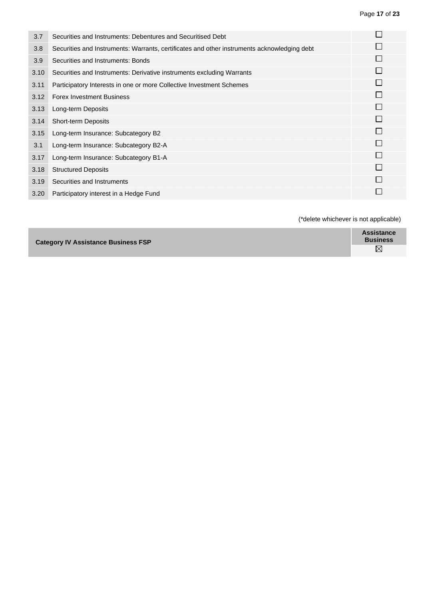| 3.7  | Securities and Instruments: Debentures and Securitised Debt                                 |              |
|------|---------------------------------------------------------------------------------------------|--------------|
| 3.8  | Securities and Instruments: Warrants, certificates and other instruments acknowledging debt |              |
| 3.9  | Securities and Instruments: Bonds                                                           |              |
| 3.10 | Securities and Instruments: Derivative instruments excluding Warrants                       |              |
| 3.11 | Participatory Interests in one or more Collective Investment Schemes                        |              |
| 3.12 | <b>Forex Investment Business</b>                                                            |              |
| 3.13 | Long-term Deposits                                                                          | $\mathsf{I}$ |
| 3.14 | <b>Short-term Deposits</b>                                                                  |              |
| 3.15 | Long-term Insurance: Subcategory B2                                                         |              |
| 3.1  | Long-term Insurance: Subcategory B2-A                                                       |              |
| 3.17 | Long-term Insurance: Subcategory B1-A                                                       | I.           |
| 3.18 | <b>Structured Deposits</b>                                                                  |              |
| 3.19 | Securities and Instruments                                                                  |              |
| 3.20 | Participatory interest in a Hedge Fund                                                      |              |

| <b>Category IV Assistance Business FSP</b> | <b>Assistance</b><br><b>Business</b> |
|--------------------------------------------|--------------------------------------|
|                                            | $\boxtimes$                          |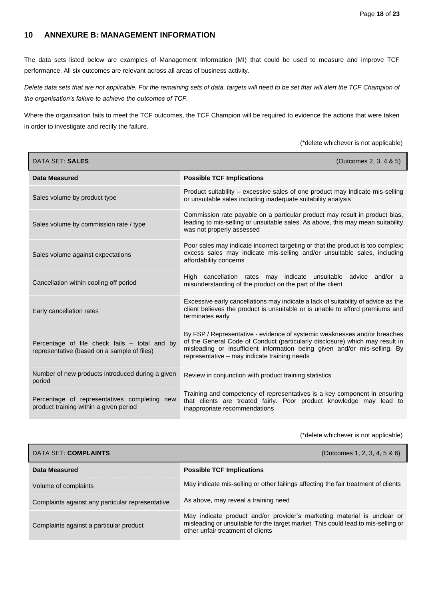## <span id="page-18-0"></span>**10 ANNEXURE B: MANAGEMENT INFORMATION**

The data sets listed below are examples of Management Information (MI) that could be used to measure and improve TCF performance. All six outcomes are relevant across all areas of business activity.

*Delete data sets that are not applicable. For the remaining sets of data, targets will need to be set that will alert the TCF Champion of the organisation's failure to achieve the outcomes of TCF.*

Where the organisation fails to meet the TCF outcomes, the TCF Champion will be required to evidence the actions that were taken in order to investigate and rectify the failure.

(\*delete whichever is not applicable)

| DATA SET: SALES                                                                              | (Outcomes 2, 3, 4 & 5)                                                                                                                                                                                                                                                                 |
|----------------------------------------------------------------------------------------------|----------------------------------------------------------------------------------------------------------------------------------------------------------------------------------------------------------------------------------------------------------------------------------------|
| Data Measured                                                                                | <b>Possible TCF Implications</b>                                                                                                                                                                                                                                                       |
| Sales volume by product type                                                                 | Product suitability – excessive sales of one product may indicate mis-selling<br>or unsuitable sales including inadequate suitability analysis                                                                                                                                         |
| Sales volume by commission rate / type                                                       | Commission rate payable on a particular product may result in product bias,<br>leading to mis-selling or unsuitable sales. As above, this may mean suitability<br>was not properly assessed                                                                                            |
| Sales volume against expectations                                                            | Poor sales may indicate incorrect targeting or that the product is too complex;<br>excess sales may indicate mis-selling and/or unsuitable sales, including<br>affordability concerns                                                                                                  |
| Cancellation within cooling off period                                                       | High cancellation rates may indicate unsuitable advice and/or a<br>misunderstanding of the product on the part of the client                                                                                                                                                           |
| Early cancellation rates                                                                     | Excessive early cancellations may indicate a lack of suitability of advice as the<br>client believes the product is unsuitable or is unable to afford premiums and<br>terminates early                                                                                                 |
| Percentage of file check fails - total and by<br>representative (based on a sample of files) | By FSP / Representative - evidence of systemic weaknesses and/or breaches<br>of the General Code of Conduct (particularly disclosure) which may result in<br>misleading or insufficient information being given and/or mis-selling. By<br>representative - may indicate training needs |
| Number of new products introduced during a given<br>period                                   | Review in conjunction with product training statistics                                                                                                                                                                                                                                 |
| Percentage of representatives completing new<br>product training within a given period       | Training and competency of representatives is a key component in ensuring<br>that clients are treated fairly. Poor product knowledge may lead to<br>inappropriate recommendations                                                                                                      |

| DATA SET: COMPLAINTS                             | (Outcomes 1, 2, 3, 4, 5 & 6)                                                                                                                                                                      |
|--------------------------------------------------|---------------------------------------------------------------------------------------------------------------------------------------------------------------------------------------------------|
| Data Measured                                    | <b>Possible TCF Implications</b>                                                                                                                                                                  |
| Volume of complaints                             | May indicate mis-selling or other failings affecting the fair treatment of clients                                                                                                                |
| Complaints against any particular representative | As above, may reveal a training need                                                                                                                                                              |
| Complaints against a particular product          | May indicate product and/or provider's marketing material is unclear or<br>misleading or unsuitable for the target market. This could lead to mis-selling or<br>other unfair treatment of clients |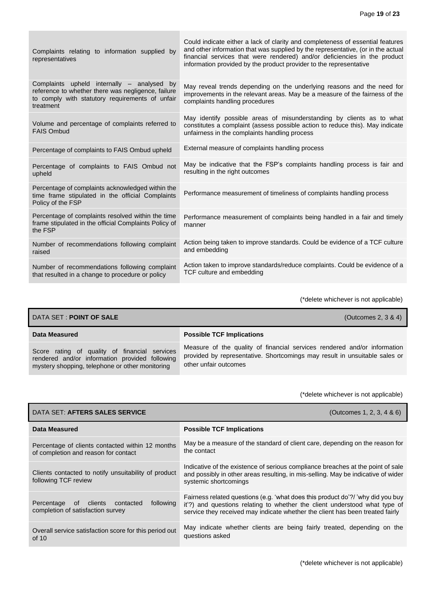| Complaints relating to information supplied by<br>representatives                                                                                                | Could indicate either a lack of clarity and completeness of essential features<br>and other information that was supplied by the representative, (or in the actual<br>financial services that were rendered) and/or deficiencies in the product<br>information provided by the product provider to the representative |
|------------------------------------------------------------------------------------------------------------------------------------------------------------------|-----------------------------------------------------------------------------------------------------------------------------------------------------------------------------------------------------------------------------------------------------------------------------------------------------------------------|
| Complaints upheld internally - analysed by<br>reference to whether there was negligence, failure<br>to comply with statutory requirements of unfair<br>treatment | May reveal trends depending on the underlying reasons and the need for<br>improvements in the relevant areas. May be a measure of the fairness of the<br>complaints handling procedures                                                                                                                               |
| Volume and percentage of complaints referred to<br><b>FAIS Ombud</b>                                                                                             | May identify possible areas of misunderstanding by clients as to what<br>constitutes a complaint (assess possible action to reduce this). May indicate<br>unfairness in the complaints handling process                                                                                                               |
| Percentage of complaints to FAIS Ombud upheld                                                                                                                    | External measure of complaints handling process                                                                                                                                                                                                                                                                       |
| Percentage of complaints to FAIS Ombud not<br>upheld                                                                                                             | May be indicative that the FSP's complaints handling process is fair and<br>resulting in the right outcomes                                                                                                                                                                                                           |
| Percentage of complaints acknowledged within the<br>time frame stipulated in the official Complaints<br>Policy of the FSP                                        | Performance measurement of timeliness of complaints handling process                                                                                                                                                                                                                                                  |
| Percentage of complaints resolved within the time<br>frame stipulated in the official Complaints Policy of<br>the FSP                                            | Performance measurement of complaints being handled in a fair and timely<br>manner                                                                                                                                                                                                                                    |
| Number of recommendations following complaint<br>raised                                                                                                          | Action being taken to improve standards. Could be evidence of a TCF culture<br>and embedding                                                                                                                                                                                                                          |
| Number of recommendations following complaint<br>that resulted in a change to procedure or policy                                                                | Action taken to improve standards/reduce complaints. Could be evidence of a<br>TCF culture and embedding                                                                                                                                                                                                              |

| DATA SET : POINT OF SALE                                                                                                                           | (Outcomes 2, $3 & 4$ )                                                                                                                                                          |
|----------------------------------------------------------------------------------------------------------------------------------------------------|---------------------------------------------------------------------------------------------------------------------------------------------------------------------------------|
| Data Measured                                                                                                                                      | <b>Possible TCF Implications</b>                                                                                                                                                |
| Score rating of quality of financial services<br>rendered and/or information provided following<br>mystery shopping, telephone or other monitoring | Measure of the quality of financial services rendered and/or information<br>provided by representative. Shortcomings may result in unsuitable sales or<br>other unfair outcomes |

| DATA SET: AFTERS SALES SERVICE                                                           | (Outcomes 1, 2, 3, 4 & 6)                                                                                                                                                                                                                      |
|------------------------------------------------------------------------------------------|------------------------------------------------------------------------------------------------------------------------------------------------------------------------------------------------------------------------------------------------|
| Data Measured                                                                            | <b>Possible TCF Implications</b>                                                                                                                                                                                                               |
| Percentage of clients contacted within 12 months<br>of completion and reason for contact | May be a measure of the standard of client care, depending on the reason for<br>the contact                                                                                                                                                    |
| Clients contacted to notify unsuitability of product<br>following TCF review             | Indicative of the existence of serious compliance breaches at the point of sale<br>and possibly in other areas resulting, in mis-selling. May be indicative of wider<br>systemic shortcomings                                                  |
| following<br>Percentage<br>of<br>clients contacted<br>completion of satisfaction survey  | Fairness related questions (e.g. 'what does this product do'?/ 'why did you buy<br>it'?) and questions relating to whether the client understood what type of<br>service they received may indicate whether the client has been treated fairly |
| Overall service satisfaction score for this period out<br>of $10$                        | May indicate whether clients are being fairly treated, depending on the<br>questions asked                                                                                                                                                     |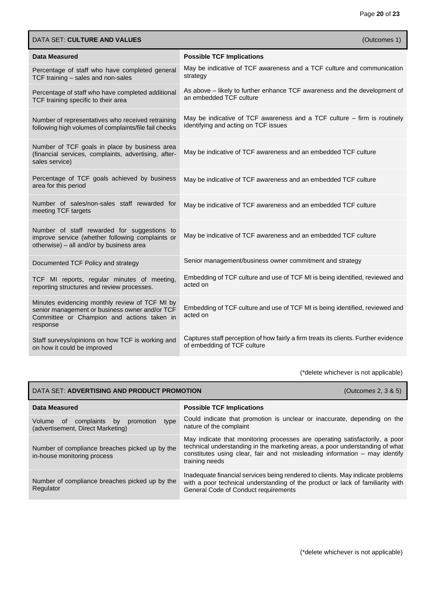| DATA SET: CULTURE AND VALUES                                                                                                                               | (Outcomes 1)                                                                                                       |
|------------------------------------------------------------------------------------------------------------------------------------------------------------|--------------------------------------------------------------------------------------------------------------------|
| Data Measured                                                                                                                                              | <b>Possible TCF Implications</b>                                                                                   |
| Percentage of staff who have completed general<br>TCF training - sales and non-sales                                                                       | May be indicative of TCF awareness and a TCF culture and communication<br>strategy                                 |
| Percentage of staff who have completed additional<br>TCF training specific to their area                                                                   | As above - likely to further enhance TCF awareness and the development of<br>an embedded TCF culture               |
| Number of representatives who received retraining<br>following high volumes of complaints/file fail checks                                                 | May be indicative of TCF awareness and a TCF culture – firm is routinely<br>identifying and acting on TCF issues   |
| Number of TCF goals in place by business area<br>(financial services, complaints, advertising, after-<br>sales service)                                    | May be indicative of TCF awareness and an embedded TCF culture                                                     |
| Percentage of TCF goals achieved by business<br>area for this period                                                                                       | May be indicative of TCF awareness and an embedded TCF culture                                                     |
| Number of sales/non-sales staff rewarded for<br>meeting TCF targets                                                                                        | May be indicative of TCF awareness and an embedded TCF culture                                                     |
| Number of staff rewarded for suggestions to<br>improve service (whether following complaints or<br>otherwise) - all and/or by business area                | May be indicative of TCF awareness and an embedded TCF culture                                                     |
| Documented TCF Policy and strategy                                                                                                                         | Senior management/business owner commitment and strategy                                                           |
| TCF MI reports, regular minutes of meeting,<br>reporting structures and review processes.                                                                  | Embedding of TCF culture and use of TCF MI is being identified, reviewed and<br>acted on                           |
| Minutes evidencing monthly review of TCF MI by<br>senior management or business owner and/or TCF<br>Committee or Champion and actions taken in<br>response | Embedding of TCF culture and use of TCF MI is being identified, reviewed and<br>acted on                           |
| Staff surveys/opinions on how TCF is working and<br>on how it could be improved                                                                            | Captures staff perception of how fairly a firm treats its clients. Further evidence<br>of embedding of TCF culture |

| DATA SET: ADVERTISING AND PRODUCT PROMOTION<br>(Outcomes 2, 3 & 5)                           |                                                                                                                                                                                                                                                              |
|----------------------------------------------------------------------------------------------|--------------------------------------------------------------------------------------------------------------------------------------------------------------------------------------------------------------------------------------------------------------|
| Data Measured                                                                                | <b>Possible TCF Implications</b>                                                                                                                                                                                                                             |
| complaints<br>promotion<br>Volume<br>type<br>of a<br>by<br>(advertisement, Direct Marketing) | Could indicate that promotion is unclear or inaccurate, depending on the<br>nature of the complaint                                                                                                                                                          |
| Number of compliance breaches picked up by the<br>in-house monitoring process                | May indicate that monitoring processes are operating satisfactorily, a poor<br>technical understanding in the marketing areas, a poor understanding of what<br>constitutes using clear, fair and not misleading information - may identify<br>training needs |
| Number of compliance breaches picked up by the<br>Regulator                                  | Inadequate financial services being rendered to clients. May indicate problems<br>with a poor technical understanding of the product or lack of familiarity with<br>General Code of Conduct requirements                                                     |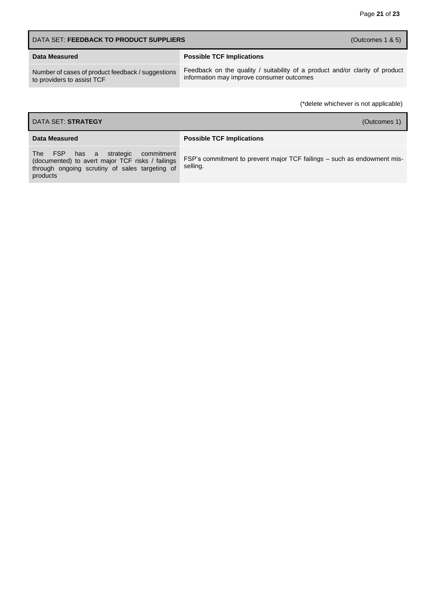| DATA SET: FEEDBACK TO PRODUCT SUPPLIERS<br>(Outcomes $1 & 5$ )                  |                                                                                                                           |
|---------------------------------------------------------------------------------|---------------------------------------------------------------------------------------------------------------------------|
| Data Measured                                                                   | <b>Possible TCF Implications</b>                                                                                          |
| Number of cases of product feedback / suggestions<br>to providers to assist TCF | Feedback on the quality / suitability of a product and/or clarity of product<br>information may improve consumer outcomes |

| DATA SET: STRATEGY<br>(Outcomes 1)                                                                                                                   |                                                                                     |  |
|------------------------------------------------------------------------------------------------------------------------------------------------------|-------------------------------------------------------------------------------------|--|
| Data Measured                                                                                                                                        | <b>Possible TCF Implications</b>                                                    |  |
| The FSP has a strategic commitment<br>(documented) to avert major TCF risks / failings<br>through ongoing scrutiny of sales targeting of<br>products | FSP's commitment to prevent major TCF failings – such as endowment mis-<br>selling. |  |